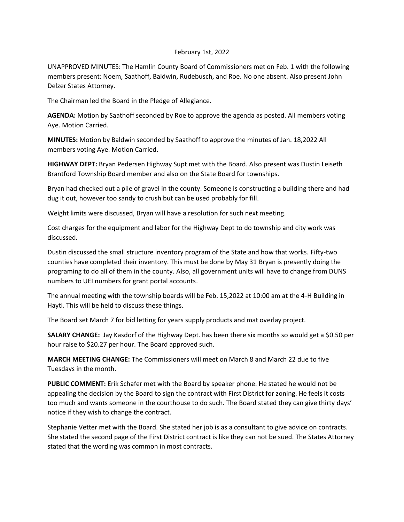## February 1st, 2022

UNAPPROVED MINUTES: The Hamlin County Board of Commissioners met on Feb. 1 with the following members present: Noem, Saathoff, Baldwin, Rudebusch, and Roe. No one absent. Also present John Delzer States Attorney.

The Chairman led the Board in the Pledge of Allegiance.

**AGENDA:** Motion by Saathoff seconded by Roe to approve the agenda as posted. All members voting Aye. Motion Carried.

**MINUTES:** Motion by Baldwin seconded by Saathoff to approve the minutes of Jan. 18,2022 All members voting Aye. Motion Carried.

**HIGHWAY DEPT:** Bryan Pedersen Highway Supt met with the Board. Also present was Dustin Leiseth Brantford Township Board member and also on the State Board for townships.

Bryan had checked out a pile of gravel in the county. Someone is constructing a building there and had dug it out, however too sandy to crush but can be used probably for fill.

Weight limits were discussed, Bryan will have a resolution for such next meeting.

Cost charges for the equipment and labor for the Highway Dept to do township and city work was discussed.

Dustin discussed the small structure inventory program of the State and how that works. Fifty-two counties have completed their inventory. This must be done by May 31 Bryan is presently doing the programing to do all of them in the county. Also, all government units will have to change from DUNS numbers to UEI numbers for grant portal accounts.

The annual meeting with the township boards will be Feb. 15,2022 at 10:00 am at the 4-H Building in Hayti. This will be held to discuss these things.

The Board set March 7 for bid letting for years supply products and mat overlay project.

**SALARY CHANGE:** Jay Kasdorf of the Highway Dept. has been there six months so would get a \$0.50 per hour raise to \$20.27 per hour. The Board approved such.

**MARCH MEETING CHANGE:** The Commissioners will meet on March 8 and March 22 due to five Tuesdays in the month.

**PUBLIC COMMENT:** Erik Schafer met with the Board by speaker phone. He stated he would not be appealing the decision by the Board to sign the contract with First District for zoning. He feels it costs too much and wants someone in the courthouse to do such. The Board stated they can give thirty days' notice if they wish to change the contract.

Stephanie Vetter met with the Board. She stated her job is as a consultant to give advice on contracts. She stated the second page of the First District contract is like they can not be sued. The States Attorney stated that the wording was common in most contracts.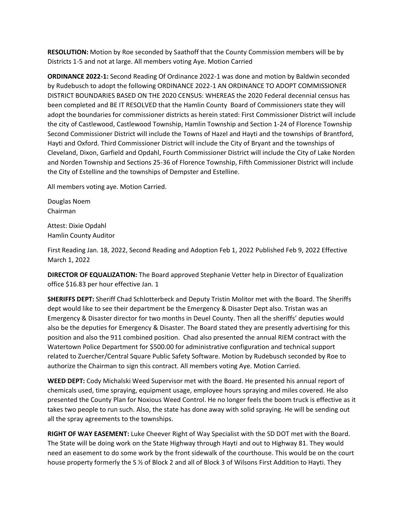**RESOLUTION:** Motion by Roe seconded by Saathoff that the County Commission members will be by Districts 1-5 and not at large. All members voting Aye. Motion Carried

**ORDINANCE 2022-1:** Second Reading Of Ordinance 2022-1 was done and motion by Baldwin seconded by Rudebusch to adopt the following ORDINANCE 2022-1 AN ORDINANCE TO ADOPT COMMISSIONER DISTRICT BOUNDARIES BASED ON THE 2020 CENSUS: WHEREAS the 2020 Federal decennial census has been completed and BE IT RESOLVED that the Hamlin County Board of Commissioners state they will adopt the boundaries for commissioner districts as herein stated: First Commissioner District will include the city of Castlewood, Castlewood Township, Hamlin Township and Section 1-24 of Florence Township Second Commissioner District will include the Towns of Hazel and Hayti and the townships of Brantford, Hayti and Oxford. Third Commissioner District will include the City of Bryant and the townships of Cleveland, Dixon, Garfield and Opdahl, Fourth Commissioner District will include the City of Lake Norden and Norden Township and Sections 25-36 of Florence Township, Fifth Commissioner District will include the City of Estelline and the townships of Dempster and Estelline.

All members voting aye. Motion Carried.

Douglas Noem Chairman

Attest: Dixie Opdahl Hamlin County Auditor

First Reading Jan. 18, 2022, Second Reading and Adoption Feb 1, 2022 Published Feb 9, 2022 Effective March 1, 2022

**DIRECTOR OF EQUALIZATION:** The Board approved Stephanie Vetter help in Director of Equalization office \$16.83 per hour effective Jan. 1

**SHERIFFS DEPT:** Sheriff Chad Schlotterbeck and Deputy Tristin Molitor met with the Board. The Sheriffs dept would like to see their department be the Emergency & Disaster Dept also. Tristan was an Emergency & Disaster director for two months in Deuel County. Then all the sheriffs' deputies would also be the deputies for Emergency & Disaster. The Board stated they are presently advertising for this position and also the 911 combined position. Chad also presented the annual RIEM contract with the Watertown Police Department for \$500.00 for administrative configuration and technical support related to Zuercher/Central Square Public Safety Software. Motion by Rudebusch seconded by Roe to authorize the Chairman to sign this contract. All members voting Aye. Motion Carried.

**WEED DEPT:** Cody Michalski Weed Supervisor met with the Board. He presented his annual report of chemicals used, time spraying, equipment usage, employee hours spraying and miles covered. He also presented the County Plan for Noxious Weed Control. He no longer feels the boom truck is effective as it takes two people to run such. Also, the state has done away with solid spraying. He will be sending out all the spray agreements to the townships.

**RIGHT OF WAY EASEMENT:** Luke Cheever Right of Way Specialist with the SD DOT met with the Board. The State will be doing work on the State Highway through Hayti and out to Highway 81. They would need an easement to do some work by the front sidewalk of the courthouse. This would be on the court house property formerly the S ½ of Block 2 and all of Block 3 of Wilsons First Addition to Hayti. They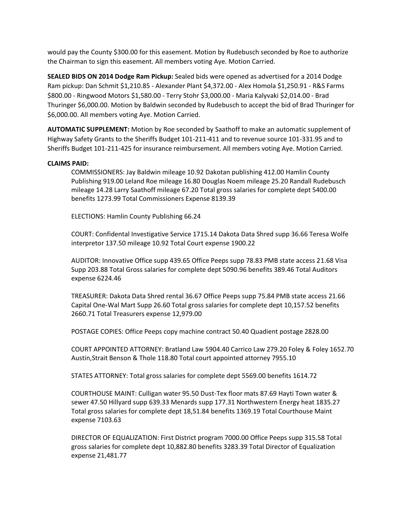would pay the County \$300.00 for this easement. Motion by Rudebusch seconded by Roe to authorize the Chairman to sign this easement. All members voting Aye. Motion Carried.

**SEALED BIDS ON 2014 Dodge Ram Pickup:** Sealed bids were opened as advertised for a 2014 Dodge Ram pickup: Dan Schmit \$1,210.85 - Alexander Plant \$4,372.00 - Alex Homola \$1,250.91 - R&S Farms \$800.00 - Ringwood Motors \$1,580.00 - Terry Stohr \$3,000.00 - Maria Kalyvaki \$2,014.00 - Brad Thuringer \$6,000.00. Motion by Baldwin seconded by Rudebusch to accept the bid of Brad Thuringer for \$6,000.00. All members voting Aye. Motion Carried.

**AUTOMATIC SUPPLEMENT:** Motion by Roe seconded by Saathoff to make an automatic supplement of Highway Safety Grants to the Sheriffs Budget 101-211-411 and to revenue source 101-331.95 and to Sheriffs Budget 101-211-425 for insurance reimbursement. All members voting Aye. Motion Carried.

## **CLAIMS PAID:**

COMMISSIONERS: Jay Baldwin mileage 10.92 Dakotan publishing 412.00 Hamlin County Publishing 919.00 Leland Roe mileage 16.80 Douglas Noem mileage 25.20 Randall Rudebusch mileage 14.28 Larry Saathoff mileage 67.20 Total gross salaries for complete dept 5400.00 benefits 1273.99 Total Commissioners Expense 8139.39

ELECTIONS: Hamlin County Publishing 66.24

COURT: Confidental Investigative Service 1715.14 Dakota Data Shred supp 36.66 Teresa Wolfe interpretor 137.50 mileage 10.92 Total Court expense 1900.22

AUDITOR: Innovative Office supp 439.65 Office Peeps supp 78.83 PMB state access 21.68 Visa Supp 203.88 Total Gross salaries for complete dept 5090.96 benefits 389.46 Total Auditors expense 6224.46

TREASURER: Dakota Data Shred rental 36.67 Office Peeps supp 75.84 PMB state access 21.66 Capital One-Wal Mart Supp 26.60 Total gross salaries for complete dept 10,157.52 benefits 2660.71 Total Treasurers expense 12,979.00

POSTAGE COPIES: Office Peeps copy machine contract 50.40 Quadient postage 2828.00

COURT APPOINTED ATTORNEY: Bratland Law 5904.40 Carrico Law 279.20 Foley & Foley 1652.70 Austin,Strait Benson & Thole 118.80 Total court appointed attorney 7955.10

STATES ATTORNEY: Total gross salaries for complete dept 5569.00 benefits 1614.72

COURTHOUSE MAINT: Culligan water 95.50 Dust-Tex floor mats 87.69 Hayti Town water & sewer 47.50 Hillyard supp 639.33 Menards supp 177.31 Northwestern Energy heat 1835.27 Total gross salaries for complete dept 18,51.84 benefits 1369.19 Total Courthouse Maint expense 7103.63

DIRECTOR OF EQUALIZATION: First District program 7000.00 Office Peeps supp 315.58 Total gross salaries for complete dept 10,882.80 benefits 3283.39 Total Director of Equalization expense 21,481.77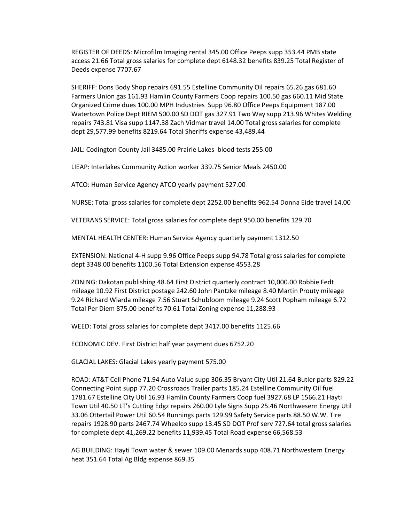REGISTER OF DEEDS: Microfilm Imaging rental 345.00 Office Peeps supp 353.44 PMB state access 21.66 Total gross salaries for complete dept 6148.32 benefits 839.25 Total Register of Deeds expense 7707.67

SHERIFF: Dons Body Shop repairs 691.55 Estelline Community Oil repairs 65.26 gas 681.60 Farmers Union gas 161.93 Hamlin County Farmers Coop repairs 100.50 gas 660.11 Mid State Organized Crime dues 100.00 MPH Industries Supp 96.80 Office Peeps Equipment 187.00 Watertown Police Dept RIEM 500.00 SD DOT gas 327.91 Two Way supp 213.96 Whites Welding repairs 743.81 Visa supp 1147.38 Zach Vidmar travel 14.00 Total gross salaries for complete dept 29,577.99 benefits 8219.64 Total Sheriffs expense 43,489.44

JAIL: Codington County Jail 3485.00 Prairie Lakes blood tests 255.00

LIEAP: Interlakes Community Action worker 339.75 Senior Meals 2450.00

ATCO: Human Service Agency ATCO yearly payment 527.00

NURSE: Total gross salaries for complete dept 2252.00 benefits 962.54 Donna Eide travel 14.00

VETERANS SERVICE: Total gross salaries for complete dept 950.00 benefits 129.70

MENTAL HEALTH CENTER: Human Service Agency quarterly payment 1312.50

EXTENSION: National 4-H supp 9.96 Office Peeps supp 94.78 Total gross salaries for complete dept 3348.00 benefits 1100.56 Total Extension expense 4553.28

ZONING: Dakotan publishing 48.64 First District quarterly contract 10,000.00 Robbie Fedt mileage 10.92 First District postage 242.60 John Pantzke mileage 8.40 Martin Prouty mileage 9.24 Richard Wiarda mileage 7.56 Stuart Schubloom mileage 9.24 Scott Popham mileage 6.72 Total Per Diem 875.00 benefits 70.61 Total Zoning expense 11,288.93

WEED: Total gross salaries for complete dept 3417.00 benefits 1125.66

ECONOMIC DEV. First District half year payment dues 6752.20

GLACIAL LAKES: Glacial Lakes yearly payment 575.00

ROAD: AT&T Cell Phone 71.94 Auto Value supp 306.35 Bryant City Util 21.64 Butler parts 829.22 Connecting Point supp 77.20 Crossroads Trailer parts 185.24 Estelline Community Oil fuel 1781.67 Estelline City Util 16.93 Hamlin County Farmers Coop fuel 3927.68 LP 1566.21 Hayti Town Util 40.50 LT's Cutting Edgz repairs 260.00 Lyle Signs Supp 25.46 Northwesern Energy Util 33.06 Ottertail Power Util 60.54 Runnings parts 129.99 Safety Service parts 88.50 W.W. Tire repairs 1928.90 parts 2467.74 Wheelco supp 13.45 SD DOT Prof serv 727.64 total gross salaries for complete dept 41,269.22 benefits 11,939.45 Total Road expense 66,568.53

AG BUILDING: Hayti Town water & sewer 109.00 Menards supp 408.71 Northwestern Energy heat 351.64 Total Ag Bldg expense 869.35